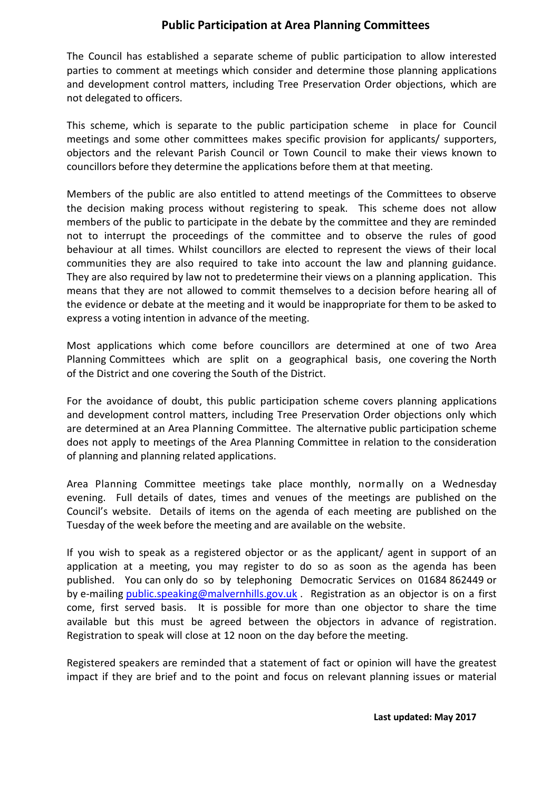## **Public Participation at Area Planning Committees**

The Council has established a separate scheme of public participation to allow interested parties to comment at meetings which consider and determine those planning applications and development control matters, including Tree Preservation Order objections, which are not delegated to officers.

This scheme, which is separate to the public participation scheme in place for Council meetings and some other committees makes specific provision for applicants/ supporters, objectors and the relevant Parish Council or Town Council to make their views known to councillors before they determine the applications before them at that meeting.

Members of the public are also entitled to attend meetings of the Committees to observe the decision making process without registering to speak. This scheme does not allow members of the public to participate in the debate by the committee and they are reminded not to interrupt the proceedings of the committee and to observe the rules of good behaviour at all times. Whilst councillors are elected to represent the views of their local communities they are also required to take into account the law and planning guidance. They are also required by law not to predetermine their views on a planning application. This means that they are not allowed to commit themselves to a decision before hearing all of the evidence or debate at the meeting and it would be inappropriate for them to be asked to express a voting intention in advance of the meeting.

Most applications which come before councillors are determined at one of two Area Planning Committees which are split on a geographical basis, one covering the North of the District and one covering the South of the District.

For the avoidance of doubt, this public participation scheme covers planning applications and development control matters, including Tree Preservation Order objections only which are determined at an Area Planning Committee. The alternative public participation scheme does not apply to meetings of the Area Planning Committee in relation to the consideration of planning and planning related applications.

Area Planning Committee meetings take place monthly, normally on a Wednesday evening. Full details of dates, times and venues of the meetings are published on the Council's website. Details of items on the agenda of each meeting are published on the Tuesday of the week before the meeting and are available on the website.

If you wish to speak as a registered objector or as the applicant/ agent in support of an application at a meeting, you may register to do so as soon as the agenda has been published. You can only do so by telephoning Democratic Services on 01684 862449 or by e-mailing [public.speaking@malvernhills.gov.uk](mailto:public.speaking@malvernhills.gov.uk) . Registration as an objector is on a first come, first served basis. It is possible for more than one objector to share the time available but this must be agreed between the objectors in advance of registration. Registration to speak will close at 12 noon on the day before the meeting.

Registered speakers are reminded that a statement of fact or opinion will have the greatest impact if they are brief and to the point and focus on relevant planning issues or material